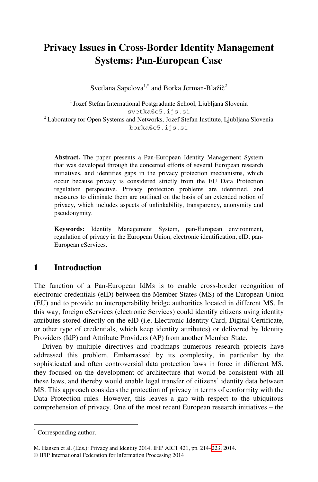# **Privacy Issues in Cross-Border Identity Management Systems: Pan-European Case**

Svetlana Sapelova<sup>1,\*</sup> and Borka Jerman-Blažič<sup>2</sup>

<sup>1</sup> Jozef Stefan International Postgraduate School, Ljubljana Slovenia svetka@e5.ijs.si <sup>2</sup> Laboratory for Open Systems and Networks, Jozef Stefan Institute, Ljubljana Slovenia

borka@e5.ijs.si

**Abstract.** The paper presents a Pan-European Identity Management System that was developed through the concerted efforts of several European research initiatives, and identifies gaps in the privacy protection mechanisms, which occur because privacy is considered strictly from the EU Data Protection regulation perspective. Privacy protection problems are identified, and measures to eliminate them are outlined on the basis of an extended notion of privacy, which includes aspects of unlinkability, transparency, anonymity and pseudonymity.

**Keywords:** Identity Management System, pan-European environment, regulation of privacy in the European Union, electronic identification, eID, pan-European eServices.

### **1 Introduction**

The function of a Pan-European IdMs is to enable cross-border recognition of electronic credentials (eID) between the Member States (MS) of the European Union (EU) and to provide an interoperability bridge authorities located in different MS. In this way, foreign eServices (electronic Services) could identify citizens using identity attributes stored directly on the eID (i.e. Electronic Identity Card, Digital Certificate, or other type of credentials, which keep identity attributes) or delivered by Identity Providers (IdP) and Attribute Providers (AP) from another Member State.

Driven by multiple directives and roadmaps numerous research projects have addressed this problem. Embarrassed by its complexity, in particular by the sophisticated and often controversial data protection laws in force in different MS, they focused on the development of architecture that would be consistent with all these laws, and thereby would enable leg[al tr](#page-9-0)ansfer of citizens' identity data between MS. This approach considers the protection of privacy in terms of conformity with the Data Protection rules. However, this leaves a gap with respect to the ubiquitous comprehension of privacy. One of the most recent European research initiatives – the

-

<sup>\*</sup> Corresponding author.

M. Hansen et al. (Eds.): Privacy and Identity 2014, IFIP AICT 421, pp. 214–223, 2014.

<sup>©</sup> IFIP International Federation for Information Processing 2014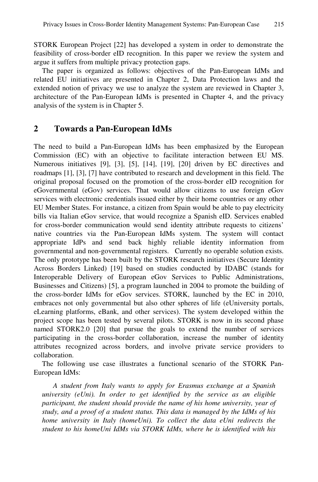STORK European Project [22] has developed a system in order to demonstrate the feasibility of cross-border eID recognition. In this paper we review the system and argue it suffers from multiple privacy protection gaps.

The paper is organized as follows: objectives of the Pan-European IdMs and related EU initiatives are presented in Chapter 2, Data Protection laws and the extended notion of privacy we use to analyze the system are reviewed in Chapter 3, architecture of the Pan-European IdMs is presented in Chapter 4, and the privacy analysis of the system is in Chapter 5.

#### **2 Towards a Pan-European IdMs**

The need to build a Pan-European IdMs has been emphasized by the European Commission (EC) with an objective to facilitate interaction between EU MS. Numerous initiatives [9], [3], [5], [14], [19], [20] driven by EC directives and roadmaps [1], [3], [7] have contributed to research and development in this field. The original proposal focused on the promotion of the cross-border eID recognition for eGovernmental (eGov) services. That would allow citizens to use foreign eGov services with electronic credentials issued either by their home countries or any other EU Member States. For instance, a citizen from Spain would be able to pay electricity bills via Italian eGov service, that would recognize a Spanish eID. Services enabled for cross-border communication would send identity attribute requests to citizens' native countries via the Pan-European IdMs system. The system will contact appropriate IdPs and send back highly reliable identity information from governmental and non-governmental registers. Currently no operable solution exists. The only prototype has been built by the STORK research initiatives (Secure Identity Across Borders Linked) [19] based on studies conducted by IDABC (stands for Interoperable Delivery of European eGov Services to Public Administrations, Businesses and Citizens) [5], a program launched in 2004 to promote the building of the cross-border IdMs for eGov services. STORK, launched by the EC in 2010, embraces not only governmental but also other spheres of life (eUniversity portals, eLearning platforms, eBank, and other services). The system developed within the project scope has been tested by several pilots. STORK is now in its second phase named STORK2.0 [20] that pursue the goals to extend the number of services participating in the cross-border collaboration, increase the number of identity attributes recognized across borders, and involve private service providers to collaboration.

The following use case illustrates a functional scenario of the STORK Pan-European IdMs:

 *A student from Italy wants to apply for Erasmus exchange at a Spanish university (eUni). In order to get identified by the service as an eligible participant, the student should provide the name of his home university, year of study, and a proof of a student status. This data is managed by the IdMs of his home university in Italy (homeUni). To collect the data eUni redirects the student to his homeUni IdMs via STORK IdMs, where he is identified with his*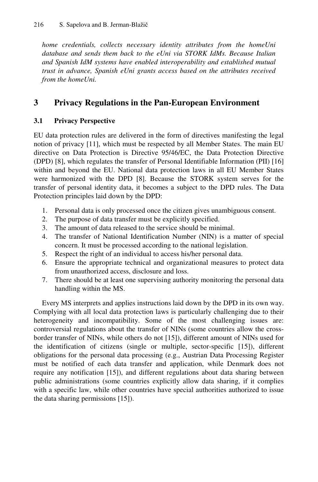*home credentials, collects necessary identity attributes from the homeUni database and sends them back to the eUni via STORK IdMs. Because Italian and Spanish IdM systems have enabled interoperability and established mutual trust in advance, Spanish eUni grants access based on the attributes received from the homeUni.* 

## **3 Privacy Regulations in the Pan-European Environment**

### **3.1 Privacy Perspective**

EU data protection rules are delivered in the form of directives manifesting the legal notion of privacy [11], which must be respected by all Member States. The main EU directive on Data Protection is Directive 95/46/EC, the Data Protection Directive (DPD) [8], which regulates the transfer of Personal Identifiable Information (PII) [16] within and beyond the EU. National data protection laws in all EU Member States were harmonized with the DPD [8]. Because the STORK system serves for the transfer of personal identity data, it becomes a subject to the DPD rules. The Data Protection principles laid down by the DPD:

- 1. Personal data is only processed once the citizen gives unambiguous consent.
- 2. The purpose of data transfer must be explicitly specified.
- 3. The amount of data released to the service should be minimal.
- 4. The transfer of National Identification Number (NIN) is a matter of special concern. It must be processed according to the national legislation.
- 5. Respect the right of an individual to access his/her personal data.
- 6. Ensure the appropriate technical and organizational measures to protect data from unauthorized access, disclosure and loss.
- 7. There should be at least one supervising authority monitoring the personal data handling within the MS.

Every MS interprets and applies instructions laid down by the DPD in its own way. Complying with all local data protection laws is particularly challenging due to their heterogeneity and incompatibility. Some of the most challenging issues are: controversial regulations about the transfer of NINs (some countries allow the crossborder transfer of NINs, while others do not [15]), different amount of NINs used for the identification of citizens (single or multiple, sector-specific [15]), different obligations for the personal data processing (e.g., Austrian Data Processing Register must be notified of each data transfer and application, while Denmark does not require any notification [15]), and different regulations about data sharing between public administrations (some countries explicitly allow data sharing, if it complies with a specific law, while other countries have special authorities authorized to issue the data sharing permissions [15]).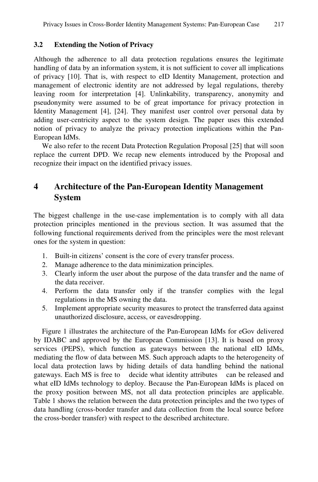#### **3.2 Extending the Notion of Privacy**

Although the adherence to all data protection regulations ensures the legitimate handling of data by an information system, it is not sufficient to cover all implications of privacy [10]. That is, with respect to eID Identity Management, protection and management of electronic identity are not addressed by legal regulations, thereby leaving room for interpretation [4]. Unlinkability, transparency, anonymity and pseudonymity were assumed to be of great importance for privacy protection in Identity Management [4], [24]. They manifest user control over personal data by adding user-centricity aspect to the system design. The paper uses this extended notion of privacy to analyze the privacy protection implications within the Pan-European IdMs.

We also refer to the recent Data Protection Regulation Proposal [25] that will soon replace the current DPD. We recap new elements introduced by the Proposal and recognize their impact on the identified privacy issues.

### **4 Architecture of the Pan-European Identity Management System**

The biggest challenge in the use-case implementation is to comply with all data protection principles mentioned in the previous section. It was assumed that the following functional requirements derived from the principles were the most relevant ones for the system in question:

- 1. Built-in citizens' consent is the core of every transfer process.
- 2. Manage adherence to the data minimization principles.
- 3. Clearly inform the user about the purpose of the data transfer and the name of the data receiver.
- 4. Perform the data transfer only if the transfer complies with the legal regulations in the MS owning the data.
- 5. Implement appropriate security measures to protect the transferred data against unauthorized disclosure, access, or eavesdropping.

Figure 1 illustrates the architecture of the Pan-European IdMs for eGov delivered by IDABC and approved by the European Commission [13]. It is based on proxy services (PEPS), which function as gateways between the national eID IdMs, mediating the flow of data between MS. Such approach adapts to the heterogeneity of local data protection laws by hiding details of data handling behind the national gateways. Each MS is free to decide what identity attributes can be released and what eID IdMs technology to deploy. Because the Pan-European IdMs is placed on the proxy position between MS, not all data protection principles are applicable. Table 1 shows the relation between the data protection principles and the two types of data handling (cross-border transfer and data collection from the local source before the cross-border transfer) with respect to the described architecture.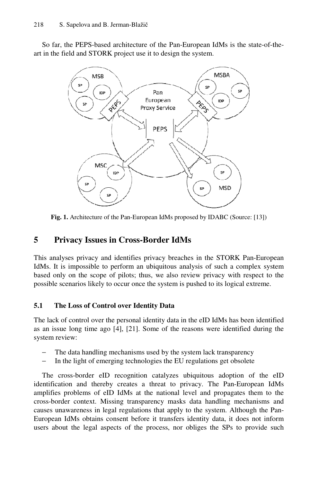So far, the PEPS-based architecture of the Pan-European IdMs is the state-of-theart in the field and STORK project use it to design the system.



**Fig. 1.** Architecture of the Pan-European IdMs proposed by IDABC (Source: [13])

## **5 Privacy Issues in n Cross-Border IdMs**

This analyses privacy and identifies privacy breaches in the STORK Pan-Europ pean IdMs. It is impossible to perform an ubiquitous analysis of such a complex system based only on the scope o f pilots; thus, we also review privacy with respect to the possible scenarios likely to occur once the system is pushed to its logical extreme.

#### **5.1** The Loss of Control over Identity Data

The lack of control over the personal identity data in the eID IdMs has been identified as an issue long time ago [4], [21]. Some of the reasons were identified during the system review:

- − The data handling mechanisms used by the system lack transparency
- − In the light of emerging technologies the EU regulations get obsolete

The cross-border eID recognition catalyzes ubiquitous adoption of the eID identification and thereby creates a threat to privacy. The Pan-European IdMs amplifies problems of eID D IdMs at the national level and propagates them to the cross-border context. Miss sing transparency masks data handling mechanisms and causes unawareness in legal regulations that apply to the system. Although the Pan-European IdMs obtains consent before it transfers identity data, it does not inform users about the legal aspects of the process, nor obliges the SPs to provide such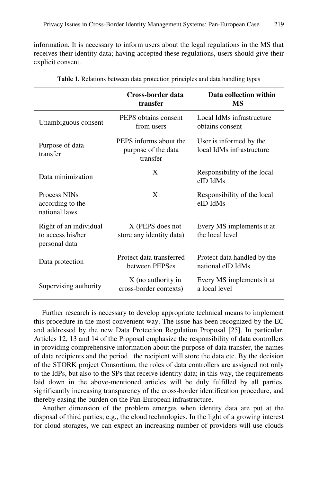information. It is necessary to inform users about the legal regulations in the MS that receives their identity data; having accepted these regulations, users should give their explicit consent.

|                                                              | Cross-border data<br>transfer                             | Data collection within<br>MS                         |
|--------------------------------------------------------------|-----------------------------------------------------------|------------------------------------------------------|
| Unambiguous consent                                          | PEPS obtains consent<br>from users                        | Local IdMs infrastructure<br>obtains consent         |
| Purpose of data<br>transfer                                  | PEPS informs about the<br>purpose of the data<br>transfer | User is informed by the<br>local IdMs infrastructure |
| Data minimization                                            | X                                                         | Responsibility of the local<br>eID IdMs              |
| <b>Process NINs</b><br>according to the<br>national laws     | X                                                         | Responsibility of the local<br>eID IdMs              |
| Right of an individual<br>to access his/her<br>personal data | X (PEPS does not<br>store any identity data)              | Every MS implements it at<br>the local level         |
| Data protection                                              | Protect data transferred<br>between PEPSes                | Protect data handled by the<br>national eID IdMs     |
| Supervising authority                                        | $X$ (no authority in<br>cross-border contexts)            | Every MS implements it at<br>a local level           |

**Table 1.** Relations between data protection principles and data handling types

Further research is necessary to develop appropriate technical means to implement this procedure in the most convenient way. The issue has been recognized by the EC and addressed by the new Data Protection Regulation Proposal [25]. In particular, Articles 12, 13 and 14 of the Proposal emphasize the responsibility of data controllers in providing comprehensive information about the purpose of data transfer, the names of data recipients and the period the recipient will store the data etc. By the decision of the STORK project Consortium, the roles of data controllers are assigned not only to the IdPs, but also to the SPs that receive identity data; in this way, the requirements laid down in the above-mentioned articles will be duly fulfilled by all parties, significantly increasing transparency of the cross-border identification procedure, and thereby easing the burden on the Pan-European infrastructure.

Another dimension of the problem emerges when identity data are put at the disposal of third parties; e.g., the cloud technologies. In the light of a growing interest for cloud storages, we can expect an increasing number of providers will use clouds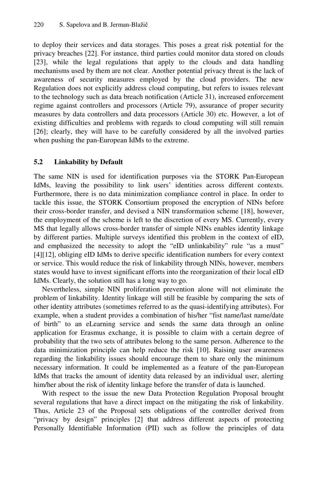to deploy their services and data storages. This poses a great risk potential for the privacy breaches [22]. For instance, third parties could monitor data stored on clouds [23], while the legal regulations that apply to the clouds and data handling mechanisms used by them are not clear. Another potential privacy threat is the lack of awareness of security measures employed by the cloud providers. The new Regulation does not explicitly address cloud computing, but refers to issues relevant to the technology such as data breach notification (Article 31), increased enforcement regime against controllers and processors (Article 79), assurance of proper security measures by data controllers and data processors (Article 30) etc. However, a lot of existing difficulties and problems with regards to cloud computing will still remain [26]; clearly, they will have to be carefully considered by all the involved parties when pushing the pan-European IdMs to the extreme.

#### **5.2 Linkability by Default**

The same NIN is used for identification purposes via the STORK Pan-European IdMs, leaving the possibility to link users' identities across different contexts. Furthermore, there is no data minimization compliance control in place. In order to tackle this issue, the STORK Consortium proposed the encryption of NINs before their cross-border transfer, and devised a NIN transformation scheme [18], however, the employment of the scheme is left to the discretion of every MS. Currently, every MS that legally allows cross-border transfer of simple NINs enables identity linkage by different parties. Multiple surveys identified this problem in the context of eID, and emphasized the necessity to adopt the "eID unlinkability" rule "as a must" [4][12], obliging eID IdMs to derive specific identification numbers for every context or service. This would reduce the risk of linkability through NINs, however, members states would have to invest significant efforts into the reorganization of their local eID IdMs. Clearly, the solution still has a long way to go.

Nevertheless, simple NIN proliferation prevention alone will not eliminate the problem of linkability. Identity linkage will still be feasible by comparing the sets of other identity attributes (sometimes referred to as the quasi-identifying attributes). For example, when a student provides a combination of his/her "fist name/last name/date of birth" to an eLearning service and sends the same data through an online application for Erasmus exchange, it is possible to claim with a certain degree of probability that the two sets of attributes belong to the same person. Adherence to the data minimization principle can help reduce the risk [10]. Raising user awareness regarding the linkability issues should encourage them to share only the minimum necessary information. It could be implemented as a feature of the pan-European IdMs that tracks the amount of identity data released by an individual user, alerting him/her about the risk of identity linkage before the transfer of data is launched.

With respect to the issue the new Data Protection Regulation Proposal brought several regulations that have a direct impact on the mitigating the risk of linkability. Thus, Article 23 of the Proposal sets obligations of the controller derived from "privacy by design" principles [2] that address different aspects of protecting Personally Identifiable Information (PII) such as follow the principles of data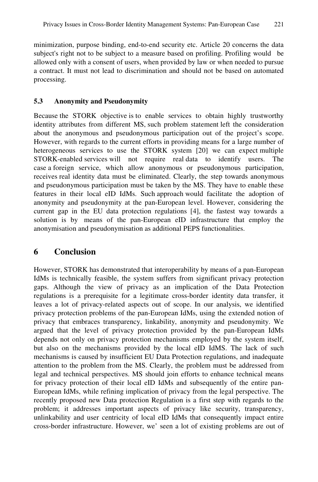minimization, purpose binding, end-to-end security etc. Article 20 concerns the data subject's right not to be subject to a measure based on profiling. Profiling would be allowed only with a consent of users, when provided by law or when needed to pursue a contract. It must not lead to discrimination and should not be based on automated processing.

#### **5.3 Anonymity and Pseudonymity**

Because the STORK objective is to enable services to obtain highly trustworthy identity attributes from different MS, such problem statement left the consideration about the anonymous and pseudonymous participation out of the project's scope. However, with regards to the current efforts in providing means for a large number of heterogeneous services to use the STORK system [20] we can expect multiple STORK-enabled services will not require real data to identify users. The case a foreign service, which allow anonymous or pseudonymous participation, receives real identity data must be eliminated. Clearly, the step towards anonymous and pseudonymous participation must be taken by the MS. They have to enable these features in their local eID IdMs. Such approach would facilitate the adoption of anonymity and pseudonymity at the pan-European level. However, considering the current gap in the EU data protection regulations [4], the fastest way towards a solution is by means of the pan-European eID infrastructure that employ the anonymisation and pseudonymisation as additional PEPS functionalities.

### **6 Conclusion**

However, STORK has demonstrated that interoperability by means of a pan-European IdMs is technically feasible, the system suffers from significant privacy protection gaps. Although the view of privacy as an implication of the Data Protection regulations is a prerequisite for a legitimate cross-border identity data transfer, it leaves a lot of privacy-related aspects out of scope. In our analysis, we identified privacy protection problems of the pan-European IdMs, using the extended notion of privacy that embraces transparency, linkability, anonymity and pseudonymity. We argued that the level of privacy protection provided by the pan-European IdMs depends not only on privacy protection mechanisms employed by the system itself, but also on the mechanisms provided by the local eID IdMS. The lack of such mechanisms is caused by insufficient EU Data Protection regulations, and inadequate attention to the problem from the MS. Clearly, the problem must be addressed from legal and technical perspectives. MS should join efforts to enhance technical means for privacy protection of their local eID IdMs and subsequently of the entire pan-European IdMs, while refining implication of privacy from the legal perspective. The recently proposed new Data protection Regulation is a first step with regards to the problem; it addresses important aspects of privacy like security, transparency, unlinkability and user centricity of local eID IdMs that consequently impact entire cross-border infrastructure. However, we' seen a lot of existing problems are out of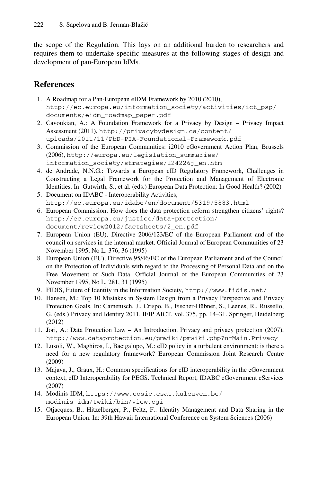the scope of the Regulation. This lays on an additional burden to researchers and requires them to undertake specific measures at the following stages of design and development of pan-European IdMs.

# **References**

- 1. A Roadmap for a Pan-European eIDM Framework by 2010 (2010), http://ec.europa.eu/information\_society/activities/ict\_psp/ documents/eidm\_roadmap\_paper.pdf
- 2. Cavoukian, A.: A Foundation Framework for a Privacy by Design Privacy Impact Assessment (2011), http://privacybydesign.ca/content/ uploads/2011/11/PbD-PIA-Foundational-Framework.pdf
- 3. Commission of the European Communities: i2010 eGovernment Action Plan, Brussels (2006), http://europa.eu/legislation\_summaries/ information\_society/strategies/l24226j\_en.htm
- 4. de Andrade, N.N.G.: Towards a European eID Regulatory Framework, Challenges in Constructing a Legal Framework for the Protection and Management of Electronic Identities. In: Gutwirth, S., et al. (eds.) European Data Protection: In Good Health? (2002)
- 5. Document on IDABC Interoperability Activities, http://ec.europa.eu/idabc/en/document/5319/5883.html
- 6. European Commission, How does the data protection reform strengthen citizens' rights? http://ec.europa.eu/justice/data-protection/ document/review2012/factsheets/2\_en.pdf
- 7. European Union (EU), Directive 2006/123/EC of the European Parliament and of the council on services in the internal market. Official Journal of European Communities of 23 November 1995, No L. 376, 36 (1995)
- 8. European Union (EU), Directive 95/46/EC of the European Parliament and of the Council on the Protection of Individuals with regard to the Processing of Personal Data and on the Free Movement of Such Data. Official Journal of the European Communities of 23 November 1995, No L. 281, 31 (1995)
- 9. FIDIS, Future of Identity in the Information Society, http://www.fidis.net/
- 10. Hansen, M.: Top 10 Mistakes in System Design from a Privacy Perspective and Privacy Protection Goals. In: Camenisch, J., Crispo, B., Fischer-Hübner, S., Leenes, R., Russello, G. (eds.) Privacy and Identity 2011. IFIP AICT, vol. 375, pp. 14–31. Springer, Heidelberg (2012)
- 11. Jori, A.: Data Protection Law An Introduction. Privacy and privacy protection (2007), http://www.dataprotection.eu/pmwiki/pmwiki.php?n=Main.Privacy
- 12. Lusoli, W., Maghiros, I., Bacigalupo, M.: eID policy in a turbulent environment: is there a need for a new regulatory framework? European Commission Joint Research Centre (2009)
- 13. Majava, J., Graux, H.: Common specifications for eID interoperability in the eGovernment context, eID Interoperability for PEGS. Technical Report, IDABC eGovernment eServices (2007)
- 14. Modinis-IDM, https://www.cosic.esat.kuleuven.be/ modinis-idm/twiki/bin/view.cgi
- 15. Otjacques, B., Hitzelberger, P., Feltz, F.: Identity Management and Data Sharing in the European Union. In: 39th Hawaii International Conference on System Sciences (2006)